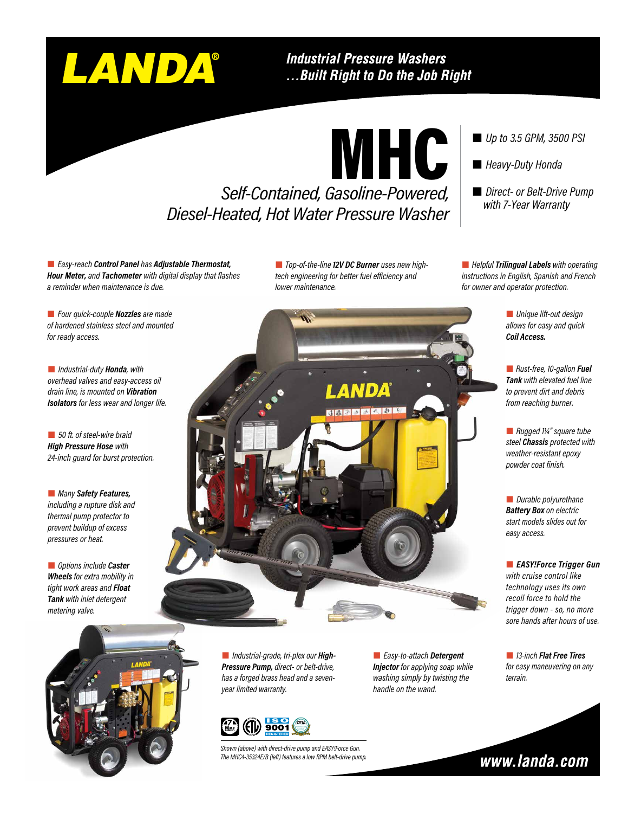# LANDA®

#### **Industrial Pressure Washers** ...Built Right to Do the Job Right

MHC

*Self-Contained, Gasoline-Powered, Diesel-Heated, Hot Water Pressure Washer*

*lower maintenance.*

 *Top-of-the-line 12V DC Burner uses new hightech engineering for better fuel efficiency and* 

 *Easy-reach Control Panel has Adjustable Thermostat, Hour Meter, and Tachometer with digital display that flashes a reminder when maintenance is due.* 

 *Four quick-couple Nozzles are made of hardened stainless steel and mounted for ready access.*

 *Industrial-duty Honda, with overhead valves and easy-access oil drain line, is mounted on Vibration Isolators for less wear and longer life.*

 *50 ft. of steel-wire braid High Pressure Hose with 24-inch guard for burst protection.*

 *Many Safety Features, including a rupture disk and thermal pump protector to prevent buildup of excess pressures or heat.*

 *Options include Caster Wheels for extra mobility in tight work areas and Float Tank with inlet detergent metering valve.*





 *Industrial-grade, tri-plex our High-Pressure Pump, direct- or belt-drive, has a forged brass head and a sevenyear limited warranty.*



*Shown (above) with direct-drive pump and EASY!Force Gun. The MHC4-35324E/B (left) features a low RPM belt-drive pump.*   *Easy-to-attach Detergent Injector for applying soap while washing simply by twisting the handle on the wand.*

#### *Up to 3.5 GPM, 3500 PSI*

- *Heavy-Duty Honda*
- *Direct- or Belt-Drive Pump with 7-Year Warranty*

 *Helpful Trilingual Labels with operating instructions in English, Spanish and French for owner and operator protection.*

> *Unique lift-out design allows for easy and quick Coil Access.*

c*Rust-free, 10-gallon Fuel Tank with elevated fuel line to prevent dirt and debris from reaching burner.*

 *Rugged 1¼" square tube steel Chassis protected with weather-resistant epoxy powder coat finish.*

 *Durable polyurethane Battery Box on electric start models slides out for easy access.*

 *EASY!Force Trigger Gun with cruise control like technology uses its own recoil force to hold the trigger down - so, no more sore hands after hours of use.*

 *13-inch Flat Free Tires for easy maneuvering on any terrain.*